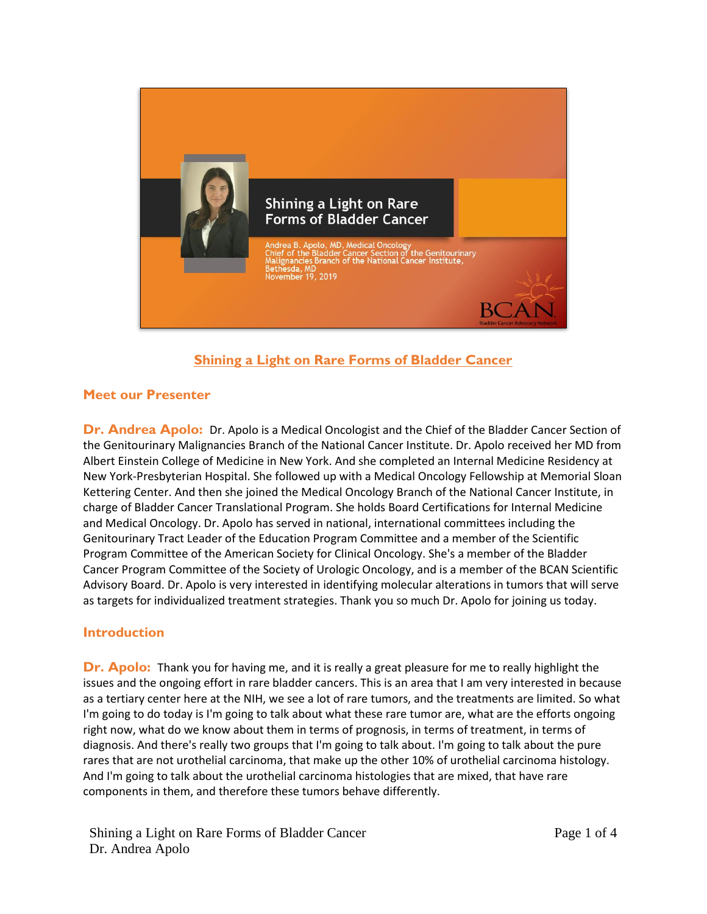

# **Shining a Light on Rare Forms of Bladder Cancer**

# **Meet our Presenter**

**Dr. Andrea Apolo:** Dr. Apolo is a Medical Oncologist and the Chief of the Bladder Cancer Section of the Genitourinary Malignancies Branch of the National Cancer Institute. Dr. Apolo received her MD from Albert Einstein College of Medicine in New York. And she completed an Internal Medicine Residency at New York-Presbyterian Hospital. She followed up with a Medical Oncology Fellowship at Memorial Sloan Kettering Center. And then she joined the Medical Oncology Branch of the National Cancer Institute, in charge of Bladder Cancer Translational Program. She holds Board Certifications for Internal Medicine and Medical Oncology. Dr. Apolo has served in national, international committees including the Genitourinary Tract Leader of the Education Program Committee and a member of the Scientific Program Committee of the American Society for Clinical Oncology. She's a member of the Bladder Cancer Program Committee of the Society of Urologic Oncology, and is a member of the BCAN Scientific Advisory Board. Dr. Apolo is very interested in identifying molecular alterations in tumors that will serve as targets for individualized treatment strategies. Thank you so much Dr. Apolo for joining us today.

# **Introduction**

**Dr. Apolo:** Thank you for having me, and it is really a great pleasure for me to really highlight the issues and the ongoing effort in rare bladder cancers. This is an area that I am very interested in because as a tertiary center here at the NIH, we see a lot of rare tumors, and the treatments are limited. So what I'm going to do today is I'm going to talk about what these rare tumor are, what are the efforts ongoing right now, what do we know about them in terms of prognosis, in terms of treatment, in terms of diagnosis. And there's really two groups that I'm going to talk about. I'm going to talk about the pure rares that are not urothelial carcinoma, that make up the other 10% of urothelial carcinoma histology. And I'm going to talk about the urothelial carcinoma histologies that are mixed, that have rare components in them, and therefore these tumors behave differently.

Shining a Light on Rare Forms of Bladder Cancer Dr. Andrea Apolo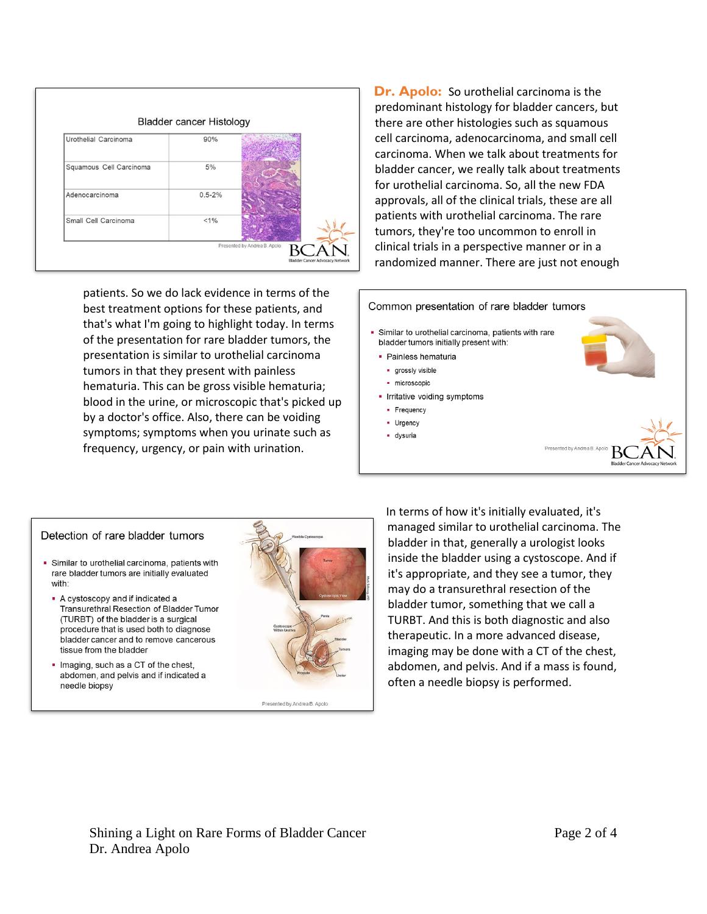

patients. So we do lack evidence in terms of the best treatment options for these patients, and that's what I'm going to highlight today. In terms of the presentation for rare bladder tumors, the presentation is similar to urothelial carcinoma tumors in that they present with painless hematuria. This can be gross visible hematuria; blood in the urine, or microscopic that's picked up by a doctor's office. Also, there can be voiding symptoms; symptoms when you urinate such as frequency, urgency, or pain with urination.

**Dr. Apolo:** So urothelial carcinoma is the predominant histology for bladder cancers, but there are other histologies such as squamous cell carcinoma, adenocarcinoma, and small cell carcinoma. When we talk about treatments for bladder cancer, we really talk about treatments for urothelial carcinoma. So, all the new FDA approvals, all of the clinical trials, these are all patients with urothelial carcinoma. The rare tumors, they're too uncommon to enroll in clinical trials in a perspective manner or in a randomized manner. There are just not enough



#### Detection of rare bladder tumors

- Similar to urothelial carcinoma, patients with rare bladder tumors are initially evaluated with:
	- A cystoscopy and if indicated a Transurethral Resection of Bladder Tumor (TURBT) of the bladder is a surgical procedure that is used both to diagnose bladder cancer and to remove cancerous tissue from the bladder
	- . Imaging, such as a CT of the chest, abdomen, and pelvis and if indicated a needle biopsy



In terms of how it's initially evaluated, it's managed similar to urothelial carcinoma. The bladder in that, generally a urologist looks inside the bladder using a cystoscope. And if it's appropriate, and they see a tumor, they may do a transurethral resection of the bladder tumor, something that we call a TURBT. And this is both diagnostic and also therapeutic. In a more advanced disease, imaging may be done with a CT of the chest, abdomen, and pelvis. And if a mass is found, often a needle biopsy is performed.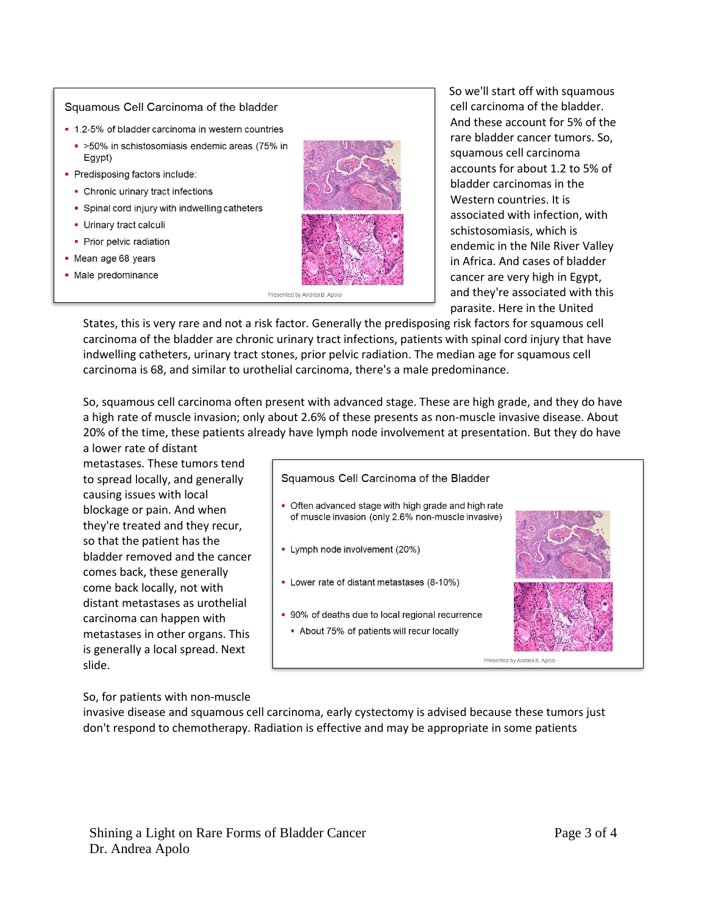### Squamous Cell Carcinoma of the bladder

- 1.2-5% of bladder carcinoma in western countries
	- >50% in schistosomiasis endemic areas (75% in Egypt)
- Predisposing factors include:
	- Chronic urinary tract infections
	- Spinal cord injury with indwelling catheters
	- Urinary tract calculi
	- Prior pelvic radiation
- Mean age 68 years
- · Male predominance



Presented by Andrea B. Apolo

So we'll start off with squamous cell carcinoma of the bladder. And these account for 5% of the rare bladder cancer tumors. So, squamous cell carcinoma accounts for about 1.2 to 5% of bladder carcinomas in the Western countries. It is associated with infection, with schistosomiasis, which is endemic in the Nile River Valley in Africa. And cases of bladder cancer are very high in Egypt, and they're associated with this parasite. Here in the United

States, this is very rare and not a risk factor. Generally the predisposing risk factors for squamous cell carcinoma of the bladder are chronic urinary tract infections, patients with spinal cord injury that have indwelling catheters, urinary tract stones, prior pelvic radiation. The median age for squamous cell carcinoma is 68, and similar to urothelial carcinoma, there's a male predominance.

So, squamous cell carcinoma often present with advanced stage. These are high grade, and they do have a high rate of muscle invasion; only about 2.6% of these presents as non-muscle invasive disease. About 20% of the time, these patients already have lymph node involvement at presentation. But they do have a lower rate of distant

metastases. These tumors tend to spread locally, and generally causing issues with local blockage or pain. And when they're treated and they recur, so that the patient has the bladder removed and the cancer comes back, these generally come back locally, not with distant metastases as urothelial carcinoma can happen with metastases in other organs. This is generally a local spread. Next slide.

### Squamous Cell Carcinoma of the Bladder

- Often advanced stage with high grade and high rate of muscle invasion (only 2.6% non-muscle invasive)
- Lymph node involvement (20%)
- Lower rate of distant metastases (8-10%)
- 90% of deaths due to local regional recurrence
	- About 75% of patients will recur locally



So, for patients with non-muscle

invasive disease and squamous cell carcinoma, early cystectomy is advised because these tumors just don't respond to chemotherapy. Radiation is effective and may be appropriate in some patients